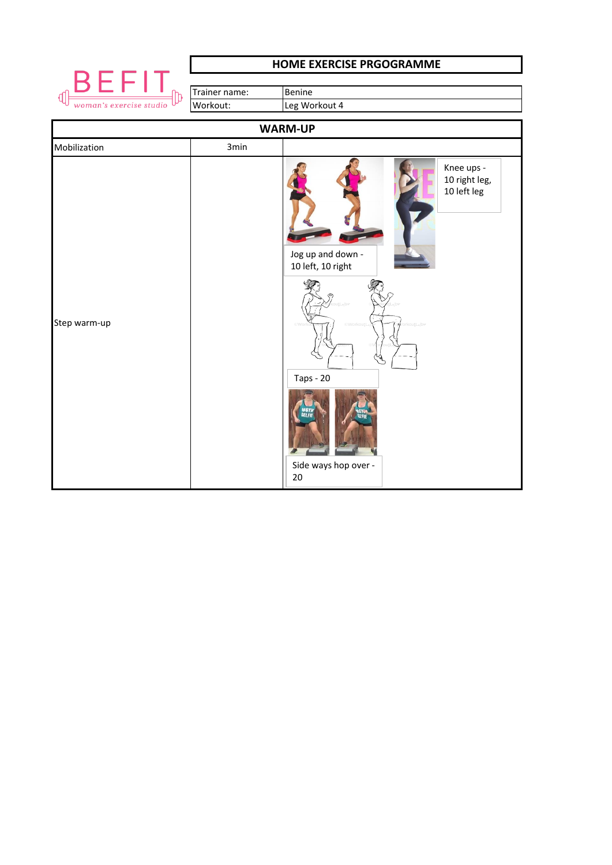

## **HOME EXERCISE PRGOGRAMME**

|                              | Trainer name: | Benine                                                                                                                                        |  |  |
|------------------------------|---------------|-----------------------------------------------------------------------------------------------------------------------------------------------|--|--|
| ℔<br>woman's exercise studio | Workout:      | Leg Workout 4                                                                                                                                 |  |  |
| <b>WARM-UP</b>               |               |                                                                                                                                               |  |  |
| Mobilization                 | 3min          |                                                                                                                                               |  |  |
| Step warm-up                 |               | Knee ups -<br>10 right leg,<br>10 left leg<br>Jog up and down -<br>10 left, 10 right<br>abv<br><b>Taps - 20</b><br>Side ways hop over -<br>20 |  |  |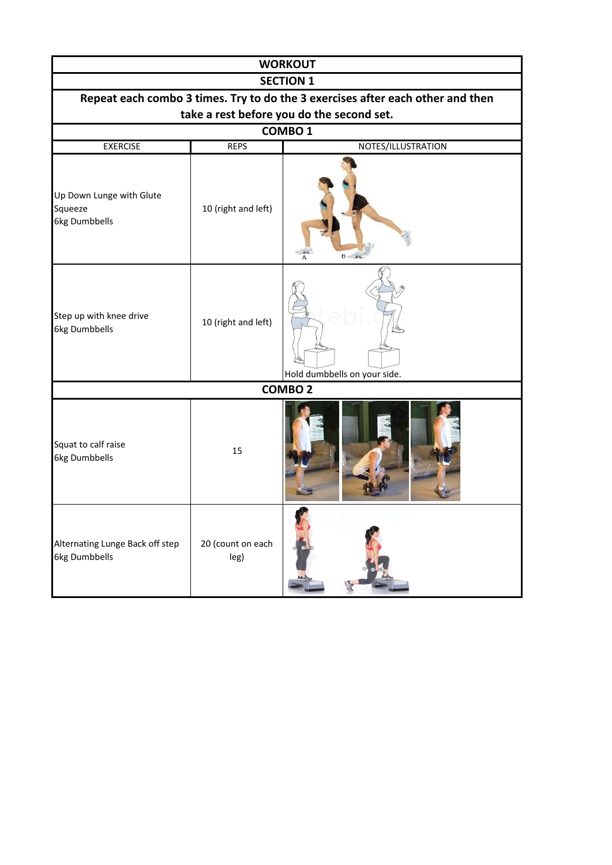| <b>WORKOUT</b>                                                                 |                           |                              |  |  |  |
|--------------------------------------------------------------------------------|---------------------------|------------------------------|--|--|--|
| <b>SECTION 1</b>                                                               |                           |                              |  |  |  |
| Repeat each combo 3 times. Try to do the 3 exercises after each other and then |                           |                              |  |  |  |
| take a rest before you do the second set.                                      |                           |                              |  |  |  |
|                                                                                |                           | COMBO <sub>1</sub>           |  |  |  |
| <b>EXERCISE</b>                                                                | <b>REPS</b>               | NOTES/ILLUSTRATION           |  |  |  |
| Up Down Lunge with Glute<br>Squeeze<br>6kg Dumbbells                           | 10 (right and left)       |                              |  |  |  |
| Step up with knee drive<br>6kg Dumbbells                                       | 10 (right and left)       | Hold dumbbells on your side. |  |  |  |
|                                                                                |                           | $COMBO$ <sub>2</sub>         |  |  |  |
| Squat to calf raise<br>6kg Dumbbells                                           | 15                        |                              |  |  |  |
| Alternating Lunge Back off step<br>6kg Dumbbells                               | 20 (count on each<br>leg) |                              |  |  |  |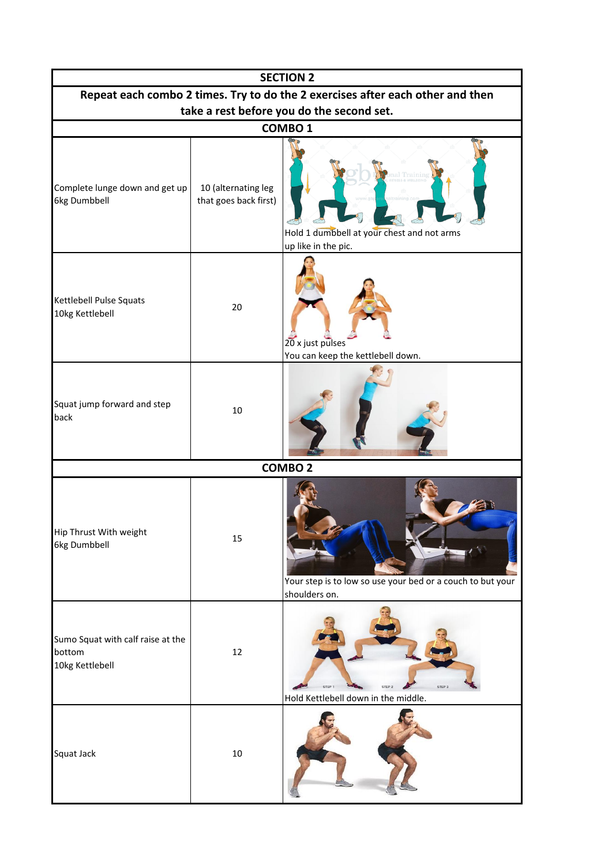| <b>SECTION 2</b>                                                               |                                              |                                                                             |  |  |  |
|--------------------------------------------------------------------------------|----------------------------------------------|-----------------------------------------------------------------------------|--|--|--|
| Repeat each combo 2 times. Try to do the 2 exercises after each other and then |                                              |                                                                             |  |  |  |
| take a rest before you do the second set.                                      |                                              |                                                                             |  |  |  |
| COMBO <sub>1</sub>                                                             |                                              |                                                                             |  |  |  |
| Complete lunge down and get up<br>6kg Dumbbell                                 | 10 (alternating leg<br>that goes back first) | rainin<br>Hold 1 dumbbell at your chest and not arms<br>up like in the pic. |  |  |  |
| Kettlebell Pulse Squats<br>10kg Kettlebell                                     | 20                                           | 20 x just pulses<br>You can keep the kettlebell down.                       |  |  |  |
| Squat jump forward and step<br>back                                            | 10                                           |                                                                             |  |  |  |
|                                                                                |                                              | <b>COMBO2</b>                                                               |  |  |  |
| Hip Thrust With weight<br>6kg Dumbbell                                         | 15                                           | Your step is to low so use your bed or a couch to but your<br>shoulders on. |  |  |  |
| Sumo Squat with calf raise at the<br>bottom<br>10kg Kettlebell                 | 12                                           | STEP 1<br>STEP 2<br>STEP 3<br>Hold Kettlebell down in the middle.           |  |  |  |
| Squat Jack                                                                     | $10\,$                                       |                                                                             |  |  |  |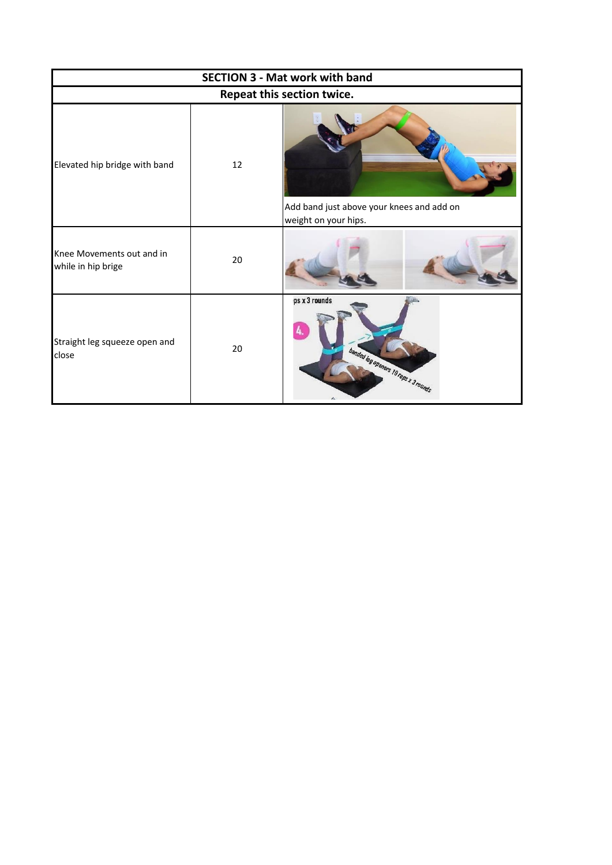| <b>SECTION 3 - Mat work with band</b>           |    |                                                                   |  |  |
|-------------------------------------------------|----|-------------------------------------------------------------------|--|--|
| Repeat this section twice.                      |    |                                                                   |  |  |
| Elevated hip bridge with band                   | 12 | Add band just above your knees and add on<br>weight on your hips. |  |  |
| Knee Movements out and in<br>while in hip brige | 20 |                                                                   |  |  |
| Straight leg squeeze open and<br>close          | 20 | ps x 3 rounds<br>banted by openers 10 reps x 3 rounds             |  |  |